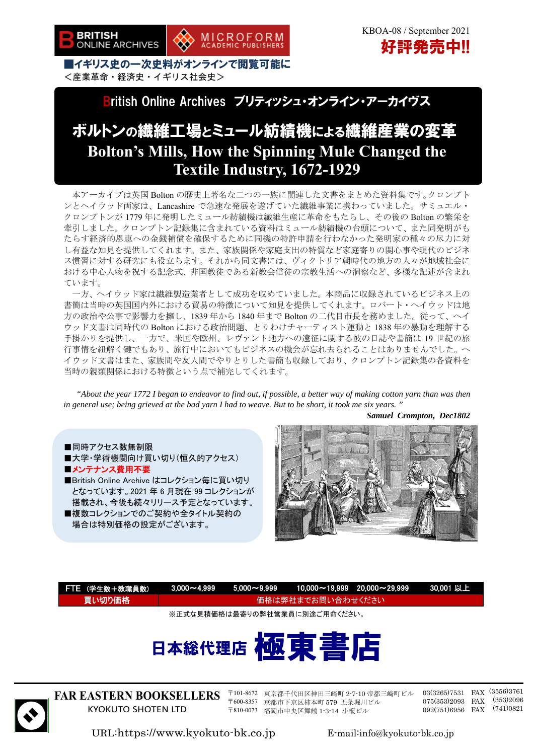

## British Online Archives ブリティッシュ・オンライン・アーカイヴス

# ボルトンの繊維工場とミュール紡績機による繊維産業の変革 **Bolton's Mills, How the Spinning Mule Changed the Textile Industry, 1672-1929**

本アーカイブは英国 Bolton の歴史上著名な二つの一族に関連した文書をまとめた資料集です。クロンプト ンとヘイウッド両家は、Lancashire で急速な発展を遂げていた繊維事業に携わっていました。サミュエル・ クロンプトンが 1779 年に発明したミュール紡績機は繊維生産に革命をもたらし、その後の Bolton の繁栄を 牽引しました。クロンプトン記録集に含まれている資料はミュール紡績機の台頭について、また同発明がも たらす経済的恩恵への金銭補償を確保するために同機の特許申請を行わなかった発明家の種々の尽力に対 し有益な知見を提供してくれます。また、家族関係や家庭支出の特質など家庭寄りの関心事や現代のビジネ ス慣習に対する研究にも役立ちます。それから同文書には、ヴィクトリア朝時代の地方の人々が地域社会に おける中心人物を祝する記念式、非国教徒である新教会信徒の宗教生活への洞察など、多様な記述が含まれ ています。

一方、ヘイウッド家は繊維製造業者として成功を収めていました。本商品に収録されているビジネス上の 書簡は当時の英国国内外における貿易の特徴について知見を提供してくれます。ロバート・ヘイウッドは地 方の政治や公事で影響力を擁し、1839 年から 1840 年まで Bolton の二代目市長を務めました。従って、ヘイ ウッド文書は同時代の Bolton における政治問題、とりわけチャーティスト運動と 1838 年の暴動を理解する 手掛かりを提供し、一方で、米国や欧州、レヴァント地方への遠征に関する彼の日誌や書簡は 19 世紀の旅 行事情を紐解く鍵でもあり、旅行中においてもビジネスの機会が忘れ去られることはありませんでした。ヘ イウッド文書はまた、家族間や友人間でやりとりした書簡も収録しており、クロンプトン記録集の各資料を 当時の親類関係における特徴という点で補完してくれます。

 *"About the year 1772 I began to endeavor to find out, if possible, a better way of making cotton yarn than was then in general use; being grieved at the bad yarn I had to weave. But to be short, it took me six years. "* 

*Samuel Crompton, Dec1802* 

### ■同時アクセス数無制限 ■大学·学術機関向け買い切り(恒久的アクセス) ■メンテナンス費用不要 ■British Online Archive はコレクション毎に買い切り となっています。2021 年 6 月現在 99 コレクションが 搭載され、今後も続々リリース予定となっています。 ■複数コレクションでのご契約や全タイトル契約の

場合は特別価格の設定がございます。



| FTE (学生数+教職員数)                | $3.000 - 4.999$   | $5.000 - 9.999$ | $10,000 \sim 19,999$ 20,000 $\sim$ 29,999 |  | 30,001 以上 |
|-------------------------------|-------------------|-----------------|-------------------------------------------|--|-----------|
| 買い切り価格                        | 価格は弊社までお問い合わせください |                 |                                           |  |           |
| ※正式な見積価格は最寄りの弊社営業員に別途ご用命ください。 |                   |                 |                                           |  |           |
| 日本総代理店 極東書店                   |                   |                 |                                           |  |           |



**FAR EASTERN BOOKSELLERS**  KYOKUTO SHOTEN LTD

〒101-8672 東京都千代田区神田三崎町 2-7-10 帝都三崎町ビル 〒600-8357 京都市下京区柿本町 579 五条堀川ビル 〒810-0073 福岡市中央区舞鶴 1-3-14 小榎ビル

03(3265)7531 FAX (3556)3761 075(353)2093 FAX (353)2096 092(751)6956 FAX (741)0821

URL:https://www.kyokuto-bk.co.jp E-mail:info@kyokuto-bk.co.jp